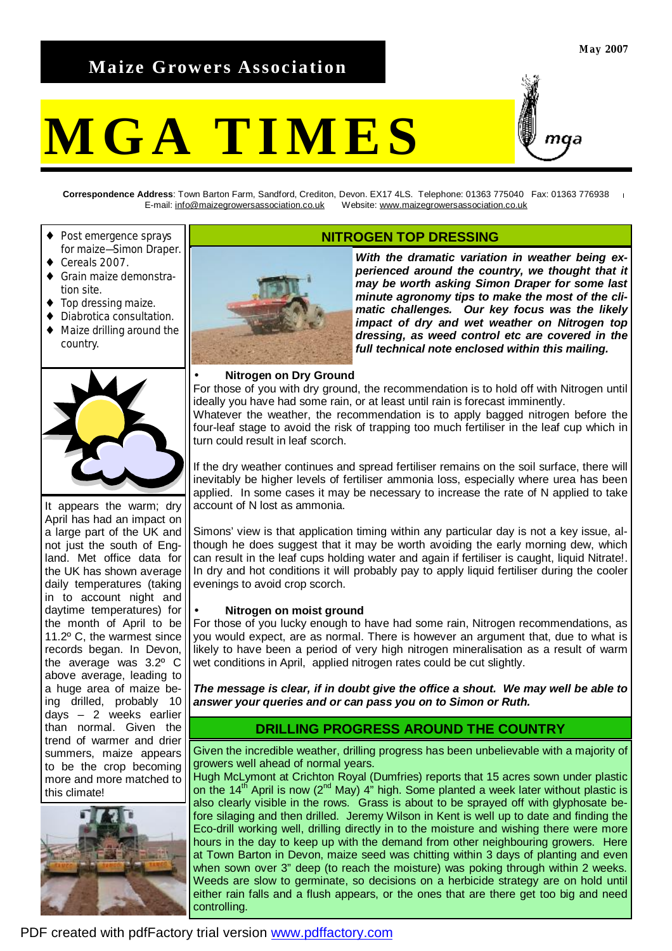# **Maize Growers Association**

# **MGA TIMES**



**Correspondence Address**: Town Barton Farm, Sandford, Crediton, Devon. EX17 4LS. Telephone: 01363 775040 Fax: 01363 776938 E-mail: [info@maizegrowersassociation.co.uk](mailto:info@maizegrowersassociation.co.uk) Website: [www.maizegrowersassociation.co.uk](http://www.maizegrowersassociation.co.uk)

- Post emergence sprays for maize—Simon Draper.
- Cereals 2007.
- Grain maize demonstration site.
- Top dressing maize.
- ♦ Diabrotica consultation.
- ♦ Maize drilling around the country.



It appears the warm; dry April has had an impact on a large part of the UK and not just the south of England. Met office data for the UK has shown average daily temperatures (taking in to account night and daytime temperatures) for the month of April to be 11.2º C, the warmest since records began. In Devon, the average was 3.2º C above average, leading to a huge area of maize being drilled, probably 10 days – 2 weeks earlier than normal. Given the trend of warmer and drier summers, maize appears to be the crop becoming more and more matched to this climate!





# **NITROGEN TOP DRESSING**

*With the dramatic variation in weather being experienced around the country, we thought that it may be worth asking Simon Draper for some last minute agronomy tips to make the most of the climatic challenges. Our key focus was the likely impact of dry and wet weather on Nitrogen top dressing, as weed control etc are covered in the full technical note enclosed within this mailing.* 

# • **Nitrogen on Dry Ground**

For those of you with dry ground, the recommendation is to hold off with Nitrogen until ideally you have had some rain, or at least until rain is forecast imminently. Whatever the weather, the recommendation is to apply bagged nitrogen before the

four-leaf stage to avoid the risk of trapping too much fertiliser in the leaf cup which in turn could result in leaf scorch.

If the dry weather continues and spread fertiliser remains on the soil surface, there will inevitably be higher levels of fertiliser ammonia loss, especially where urea has been applied. In some cases it may be necessary to increase the rate of N applied to take account of N lost as ammonia.

Simons' view is that application timing within any particular day is not a key issue, although he does suggest that it may be worth avoiding the early morning dew, which can result in the leaf cups holding water and again if fertiliser is caught, liquid Nitrate!. In dry and hot conditions it will probably pay to apply liquid fertiliser during the cooler evenings to avoid crop scorch.

# • **Nitrogen on moist ground**

For those of you lucky enough to have had some rain, Nitrogen recommendations, as you would expect, are as normal. There is however an argument that, due to what is likely to have been a period of very high nitrogen mineralisation as a result of warm wet conditions in April, applied nitrogen rates could be cut slightly.

*The message is clear, if in doubt give the office a shout. We may well be able to answer your queries and or can pass you on to Simon or Ruth.*

# **DRILLING PROGRESS AROUND THE COUNTRY**

Given the incredible weather, drilling progress has been unbelievable with a majority of growers well ahead of normal years.

Hugh McLymont at Crichton Royal (Dumfries) reports that 15 acres sown under plastic on the 14<sup>th</sup> April is now (2<sup>nd</sup> May) 4<sup>"</sup> high. Some planted a week later without plastic is also clearly visible in the rows. Grass is about to be sprayed off with glyphosate before silaging and then drilled. Jeremy Wilson in Kent is well up to date and finding the Eco-drill working well, drilling directly in to the moisture and wishing there were more hours in the day to keep up with the demand from other neighbouring growers. Here at Town Barton in Devon, maize seed was chitting within 3 days of planting and even when sown over 3" deep (to reach the moisture) was poking through within 2 weeks. Weeds are slow to germinate, so decisions on a herbicide strategy are on hold until either rain falls and a flush appears, or the ones that are there get too big and need controlling.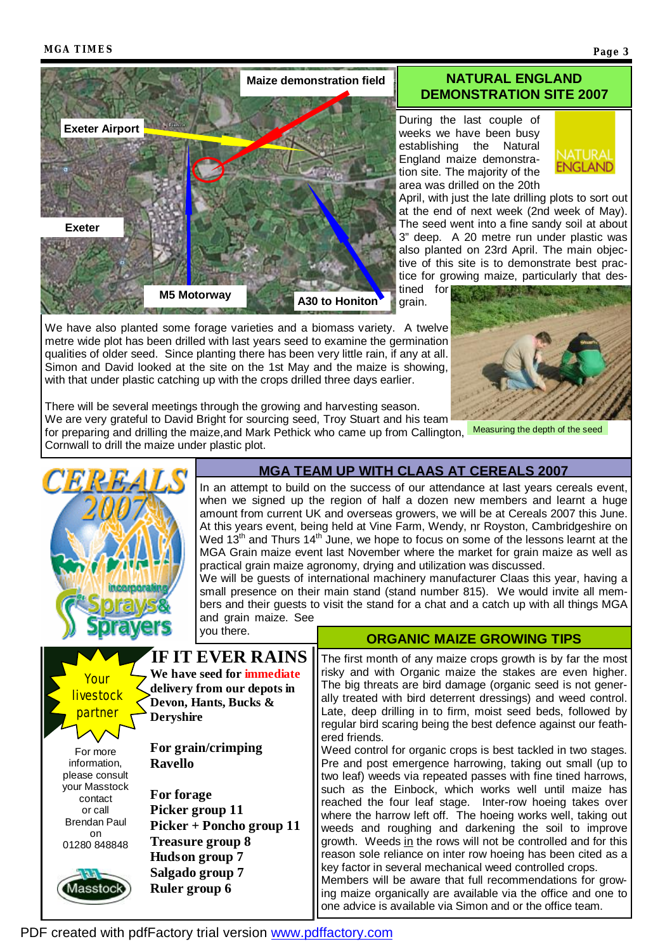

We have also planted some forage varieties and a biomass variety. A twelve metre wide plot has been drilled with last years seed to examine the germination qualities of older seed. Since planting there has been very little rain, if any at all. Simon and David looked at the site on the 1st May and the maize is showing, with that under plastic catching up with the crops drilled three days earlier.

# **NATURAL ENGLAND DEMONSTRATION SITE 2007**

During the last couple of weeks we have been busy establishing the Natural England maize demonstration site. The majority of the area was drilled on the 20th



April, with just the late drilling plots to sort out at the end of next week (2nd week of May). The seed went into a fine sandy soil at about 3" deep. A 20 metre run under plastic was also planted on 23rd April. The main objective of this site is to demonstrate best practice for growing maize, particularly that des-

tined for grain.



There will be several meetings through the growing and harvesting season.

We are very grateful to David Bright for sourcing seed, Troy Stuart and his team

for preparing and drilling the maize,and Mark Pethick who came up from Callington, Measuring the depth of the seed Cornwall to drill the maize under plastic plot.



# **MGA TEAM UP WITH CLAAS AT CEREALS 2007**

In an attempt to build on the success of our attendance at last years cereals event, when we signed up the region of half a dozen new members and learnt a huge amount from current UK and overseas growers, we will be at Cereals 2007 this June. At this years event, being held at Vine Farm, Wendy, nr Royston, Cambridgeshire on Wed  $13<sup>th</sup>$  and Thurs  $14<sup>th</sup>$  June, we hope to focus on some of the lessons learnt at the MGA Grain maize event last November where the market for grain maize as well as practical grain maize agronomy, drying and utilization was discussed.

We will be guests of international machinery manufacturer Claas this year, having a small presence on their main stand (stand number 815). We would invite all members and their guests to visit the stand for a chat and a catch up with all things MGA and grain maize. See you there.

# **ORGANIC MAIZE GROWING TIPS**

**IF IT EVER RAINS** The first month of any maize crops growth is by far the most risky and with Organic maize the stakes are even higher. **We have seed for immediate** Your The big threats are bird damage (organic seed is not gener**delivery from our depots in**  livestock ally treated with bird deterrent dressings) and weed control. **Devon, Hants, Bucks &**  Late, deep drilling in to firm, moist seed beds, followed by nartne **Deryshire**  regular bird scaring being the best defence against our feathered friends. **For grain/crimping**  For more Weed control for organic crops is best tackled in two stages. **Ravello**  information, Pre and post emergence harrowing, taking out small (up to please consult two leaf) weeds via repeated passes with fine tined harrows, your Masstock such as the Einbock, which works well until maize has **For forage**  contact reached the four leaf stage. Inter-row hoeing takes over or call **Picker group 11**  where the harrow left off. The hoeing works well, taking out Brendan Paul **Picker + Poncho group 11**  weeds and roughing and darkening the soil to improve on **Treasure group 8**  growth. Weeds in the rows will not be controlled and for this 01280 848848 reason sole reliance on inter row hoeing has been cited as a **Hudson group 7**  key factor in several mechanical weed controlled crops. **Salgado group 7**  Members will be aware that full recommendations for grow-Masstock **Ruler group 6**  ing maize organically are available via the office and one to one advice is available via Simon and or the office team.